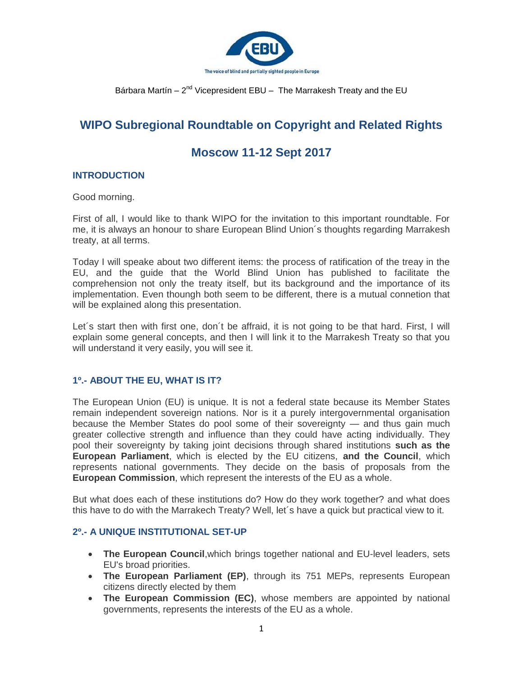

# **WIPO Subregional Roundtable on Copyright and Related Rights**

# **Moscow 11-12 Sept 2017**

## **INTRODUCTION**

Good morning.

First of all, I would like to thank WIPO for the invitation to this important roundtable. For me, it is always an honour to share European Blind Union´s thoughts regarding Marrakesh treaty, at all terms.

Today I will speake about two different items: the process of ratification of the treay in the EU, and the guide that the World Blind Union has published to facilitate the comprehension not only the treaty itself, but its background and the importance of its implementation. Even thoungh both seem to be different, there is a mutual connetion that will be explained along this presentation.

Let´s start then with first one, don´t be affraid, it is not going to be that hard. First, I will explain some general concepts, and then I will link it to the Marrakesh Treaty so that you will understand it very easily, you will see it.

## **1º.- ABOUT THE EU, WHAT IS IT?**

The European Union (EU) is unique. It is not a federal state because its Member States remain independent sovereign nations. Nor is it a purely intergovernmental organisation because the Member States do pool some of their sovereignty — and thus gain much greater collective strength and influence than they could have acting individually. They pool their sovereignty by taking joint decisions through shared institutions **such as the European Parliament**, which is elected by the EU citizens, **and the Council**, which represents national governments. They decide on the basis of proposals from the **European Commission**, which represent the interests of the EU as a whole.

But what does each of these institutions do? How do they work together? and what does this have to do with the Marrakech Treaty? Well, let´s have a quick but practical view to it.

# **2º.- A UNIQUE INSTITUTIONAL SET-UP**

- **The European Council**,which brings together national and EU-level leaders, sets EU's broad priorities.
- **The European Parliament (EP)**, through its 751 MEPs, represents European citizens directly elected by them
- **The European Commission (EC)**, whose members are appointed by national governments, represents the interests of the EU as a whole.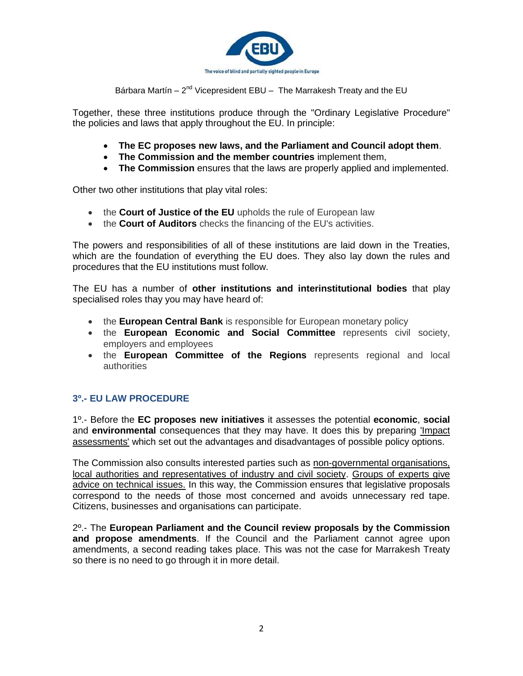

Together, these three institutions produce through the ["Ordinary Legislative Procedure"](http://www.europarl.europa.eu/aboutparliament/en/20150201PVL00004/Legislative-powers) the policies and laws that apply throughout the EU. In principle:

- **The EC proposes new laws, and the Parliament and Council adopt them**.
- **The Commission and the member countries** implement them,
- **The Commission** ensures that the laws are properly applied and implemented.

Other two other institutions that play vital roles:

- the **Court of Justice of the EU** upholds the rule of European law
- the **Court of Auditors** checks the financing of the EU's activities.

The powers and responsibilities of all of these institutions are laid down in the Treaties, which are the foundation of everything the EU does. They also lay down the rules and procedures that the EU institutions must follow.

The EU has a number of **other institutions and interinstitutional bodies** that play specialised roles thay you may have heard of:

- the **European Central Bank** is responsible for European monetary policy
- the **European Economic and Social Committee** represents civil society, employers and employees
- the **European Committee of the Regions** represents regional and local authorities

# **3º.- EU LAW PROCEDURE**

1º.- Before the **EC proposes new initiatives** it assesses the potential **economic**, **social** and **environmental** consequences that they may have. It does this by preparing 'Impact assessments' which set out the advantages and disadvantages of possible policy options.

The Commission also consults interested parties such as non-governmental organisations, local authorities and representatives of industry and civil society. Groups of experts give advice on technical issues. In this way, the Commission ensures that legislative proposals correspond to the needs of those most concerned and avoids unnecessary red tape. Citizens, businesses and organisations can participate.

2º.- The **European Parliament and the Council review proposals by the Commission and propose amendments**. If the Council and the Parliament cannot agree upon amendments, a second reading takes place. This was not the case for Marrakesh Treaty so there is no need to go through it in more detail.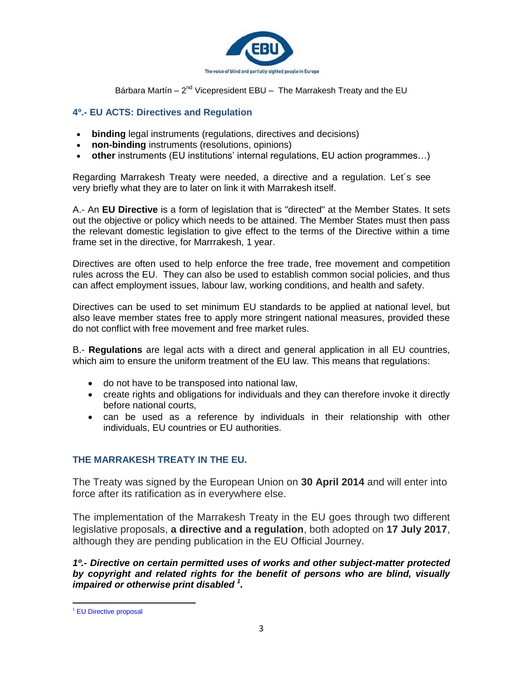

## **4º.- EU ACTS: Directives and Regulation**

- **binding** legal instruments (regulations, directives and decisions)
- **non-binding** instruments (resolutions, opinions)
- **other** instruments (EU institutions' internal regulations, EU action programmes...)

Regarding Marrakesh Treaty were needed, a directive and a regulation. Let´s see very briefly what they are to later on link it with Marrakesh itself.

A.- An **EU Directive** is a form of legislation that is "directed" at the Member States. It sets out the objective or policy which needs to be attained. The Member States must then pass the relevant domestic legislation to give effect to the terms of the Directive within a time frame set in the directive, for Marrrakesh, 1 year.

Directives are often used to help enforce the free trade, free movement and competition rules across the EU. They can also be used to establish common social policies, and thus can affect employment issues, labour law, working conditions, and health and safety.

Directives can be used to set minimum EU standards to be applied at national level, but also leave member states free to apply more stringent national measures, provided these do not conflict with free movement and free market rules.

B.- **Regulations** are legal acts with a direct and general application in all EU countries, which aim to ensure the uniform treatment of the EU law. This means that regulations:

- do not have to be transposed into national law,
- create rights and obligations for individuals and they can therefore invoke it directly before national courts,
- can be used as a reference by individuals in their relationship with other individuals, EU countries or EU authorities.

# **THE MARRAKESH TREATY IN THE EU.**

The Treaty was signed by the European Union on **30 April 2014** and will enter into force after its ratification as in everywhere else.

The implementation of the Marrakesh Treaty in the EU goes through two different legislative proposals, **a directive and a regulation**, both adopted on **17 July 2017**, although they are pending publication in the EU Official Journey.

*1º.- Directive on certain permitted uses of works and other subject-matter protected by copyright and related rights for the benefit of persons who are blind, visually impaired or otherwise print disabled <sup>1</sup> .*

 $\overline{a}$ <sup>1</sup> [EU Directive proposal](http://www.europarl.europa.eu/sides/getDoc.do?pubRef=-//EP//TEXT+TA+P8-TA-2017-0312+0+DOC+XML+V0//EN)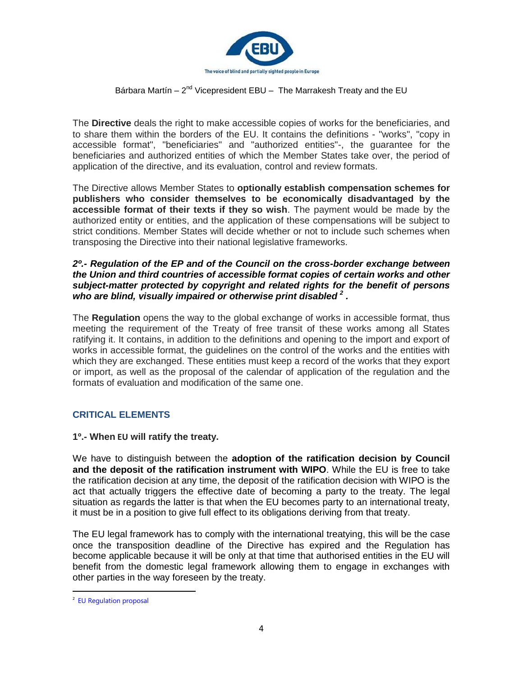

The **Directive** deals the right to make accessible copies of works for the beneficiaries, and to share them within the borders of the EU. It contains the definitions - "works", "copy in accessible format", "beneficiaries" and "authorized entities"-, the guarantee for the beneficiaries and authorized entities of which the Member States take over, the period of application of the directive, and its evaluation, control and review formats.

The Directive allows Member States to **optionally establish compensation schemes for publishers who consider themselves to be economically disadvantaged by the accessible format of their texts if they so wish**. The payment would be made by the authorized entity or entities, and the application of these compensations will be subject to strict conditions. Member States will decide whether or not to include such schemes when transposing the Directive into their national legislative frameworks.

#### *2º.- Regulation of the EP and of the Council on the cross-border exchange between the Union and third countries of accessible format copies of certain works and other subject-matter protected by copyright and related rights for the benefit of persons who are blind, visually impaired or otherwise print disabled <sup>2</sup> .*

The **Regulation** opens the way to the global exchange of works in accessible format, thus meeting the requirement of the Treaty of free transit of these works among all States ratifying it. It contains, in addition to the definitions and opening to the import and export of works in accessible format, the guidelines on the control of the works and the entities with which they are exchanged. These entities must keep a record of the works that they export or import, as well as the proposal of the calendar of application of the regulation and the formats of evaluation and modification of the same one.

## **CRITICAL ELEMENTS**

**1º.- When EU will ratify the treaty.**

We have to distinguish between the **adoption of the ratification decision by Council and the deposit of the ratification instrument with WIPO**. While the EU is free to take the ratification decision at any time, the deposit of the ratification decision with WIPO is the act that actually triggers the effective date of becoming a party to the treaty. The legal situation as regards the latter is that when the EU becomes party to an international treaty, it must be in a position to give full effect to its obligations deriving from that treaty.

The EU legal framework has to comply with the international treatying, this will be the case once the transposition deadline of the Directive has expired and the Regulation has become applicable because it will be only at that time that authorised entities in the EU will benefit from the domestic legal framework allowing them to engage in exchanges with other parties in the way foreseen by the treaty.

 $\ddot{\phantom{a}}$ 

<sup>&</sup>lt;sup>2</sup> [EU Regulation proposal](http://www.europarl.europa.eu/sides/getDoc.do?pubRef=-//EP//TEXT+TA+P8-TA-2017-0313+0+DOC+XML+V0//EN)